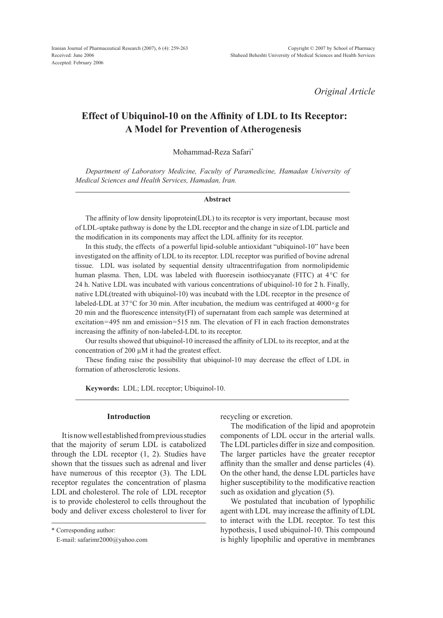*Original Article*

# **Effect of Ubiquinol-10 on the Affinity of LDL to Its Receptor: A Model for Prevention of Atherogenesis**

Mohammad-Reza Safari\*

*Department of Laboratory Medicine, Faculty of Paramedicine, Hamadan University of Medical Sciences and Health Services, Hamadan, Iran.*

#### **Abstract**

The affinity of low density lipoprotein(LDL) to its receptor is very important, because most of LDL-uptake pathway is done by the LDL receptor and the change in size of LDL particle and the modification in its components may affect the LDL affinity for its receptor.

In this study, the effects of a powerful lipid-soluble antioxidant "ubiquinol-10" have been investigated on the affinity of LDL to its receptor. LDL receptor was purified of bovine adrenal tissue. LDL was isolated by sequential density ultracentrifugation from normolipidemic human plasma. Then, LDL was labeled with fluoresein isothiocyanate (FITC) at 4<sup>°</sup>C for 24 h. Native LDL was incubated with various concentrations of ubiquinol-10 for 2 h. Finally, native LDL(treated with ubiquinol-10) was incubatd with the LDL receptor in the presence of labeled-LDL at 37 $\rm{^{\circ}C}$  for 30 min. After incubation, the medium was centrifuged at 4000 $\times$ g for 20 min and the fluorescence intensity(FI) of supernatant from each sample was determined at excitation=495 nm and emission=515 nm. The elevation of FI in each fraction demonstrates increasing the affinity of non-labeled-LDL to its receptor.

Our results showed that ubiquinol-10 increased the affinity of LDL to its receptor, and at the concentration of 200 µM it had the greatest effect.

These finding raise the possibility that ubiquinol-10 may decrease the effect of LDL in formation of atherosclerotic lesions.

**Keywords:** LDL; LDL receptor; Ubiquinol-10.

## **Introduction**

It is now well established from previous studies that the majority of serum LDL is catabolized through the LDL receptor (1, 2). Studies have shown that the tissues such as adrenal and liver have numerous of this receptor (3). The LDL receptor regulates the concentration of plasma LDL and cholesterol. The role of LDL receptor is to provide cholesterol to cells throughout the body and deliver excess cholesterol to liver for recycling or excretion.

The modification of the lipid and apoprotein components of LDL occur in the arterial walls. The LDL particles differ in size and composition. The larger particles have the greater receptor affinity than the smaller and dense particles (4). On the other hand, the dense LDL particles have higher susceptibility to the modificative reaction such as oxidation and glycation  $(5)$ .

We postulated that incubation of lypophilic agent with LDL may increase the affinity of LDL to interact with the LDL receptor. To test this hypothesis, I used ubiquinol-10. This compound is highly lipophilic and operative in membranes

<sup>\*</sup> Corresponding author:

E-mail: safarimr2000@yahoo.com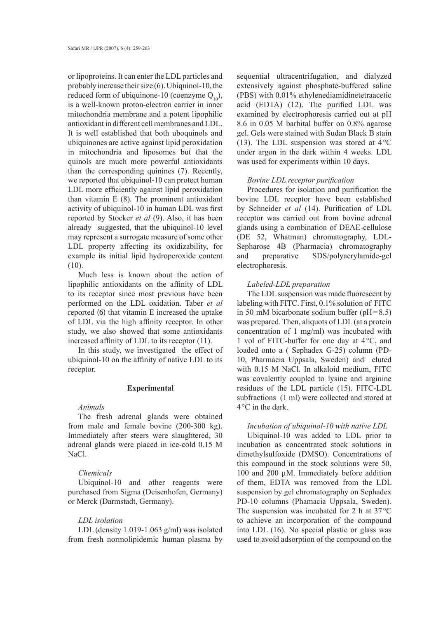or lipoproteins. It can enter the LDL particles and probably increase their size (6). Ubiquinol-10, the reduced form of ubiquinone-10 (coenzyme  $Q_{10}$ ), is a well-known proton-electron carrier in inner mitochondria membrane and a potent lipophilic antioxidant in different cell membranes and LDL. It is well established that both uboquinols and ubiquinones are active against lipid peroxidation in mitochondria and liposomes but that the quinols are much more powerful antioxidants than the corresponding quinines (7). Recently, we reported that ubiquinol-10 can protect human LDL more efficiently against lipid peroxidation than vitamin E (8). The prominent antioxidant activity of ubiquinol-10 in human LDL was first reported by Stocker *et al* (9). Also, it has been already suggested, that the ubiquinol-10 level may represent a surrogate measure of some other LDL property affecting its oxidizability, for example its initial lipid hydroperoxide content  $(10).$ 

Much less is known about the action of lipophilic antioxidants on the affinity of LDL to its receptor since most previous have been performed on the LDL oxidation. Taber *et al* reported (6) that vitamin E increased the uptake of LDL via the high affinity receptor. In other study, we also showed that some antioxidants increased affinity of LDL to its receptor (11).

In this study, we investigated the effect of ubiquinol-10 on the affinity of native LDL to its receptor.

# **Experimental**

## *Animals*

The fresh adrenal glands were obtained from male and female bovine (200-300 kg). Immediately after steers were slaughtered, 30 adrenal glands were placed in ice-cold 0.15 M NaCl.

# *Chemicals*

Ubiquinol-10 and other reagents were purchased from Sigma (Deisenhofen, Germany) or Merck (Darmstadt, Germany).

#### *LDL isolation*

LDL (density 1.019-1.063 g/ml) was isolated from fresh normolipidemic human plasma by sequential ultracentrifugation, and dialyzed extensively against phosphate-buffered saline (PBS) with 0.01% ethylenediamidinetetraacetic acid (EDTA) (12). The purified LDL was examined by electrophoresis carried out at pH 8.6 in 0.05 M barbital buffer on 0.8% agarose gel. Gels were stained with Sudan Black B stain (13). The LDL suspension was stored at  $4^{\circ}$ C under argon in the dark within 4 weeks. LDL was used for experiments within 10 days.

## *Bovine LDL receptor purification*

Procedures for isolation and purification the bovine LDL receptor have been established by Schneider *et al* (14). Purification of LDL receptor was carried out from bovine adrenal glands using a combination of DEAE-cellulose (DE 52, Whatman) chromatography, LDL-Sepharose 4B (Pharmacia) chromatography and preparative SDS/polyacrylamide-gel electrophoresis.

## *Labeled-LDL preparation*

The LDL suspension was made fluorescent by labeling with FITC. First, 0.1% solution of FITC in 50 mM bicarbonate sodium buffer ( $pH = 8.5$ ) was prepared. Then, aliquots of LDL (at a protein concentration of 1 mg/ml) was incubated with 1 vol of FITC-buffer for one day at 4°C, and loaded onto a ( Sephadex G-25) column (PD-10, Pharmacia Uppsala, Sweden) and eluted with 0.15 M NaCl. In alkaloid medium, FITC was covalently coupled to lysine and arginine residues of the LDL particle (15). FITC-LDL subfractions (1 ml) were collected and stored at 4°C in the dark.

# *Incubation of ubiquinol-10 with native LDL*

Ubiquinol-10 was added to LDL prior to incubation as concentrated stock solutions in dimethylsulfoxide (DMSO). Concentrations of this compound in the stock solutions were 50, 100 and 200 µM. Immediately before addition of them, EDTA was removed from the LDL suspension by gel chromatography on Sephadex PD-10 columns (Phamacia Uppsala, Sweden). The suspension was incubated for 2 h at 37°C to achieve an incorporation of the compound into LDL (16). No special plastic or glass was used to avoid adsorption of the compound on the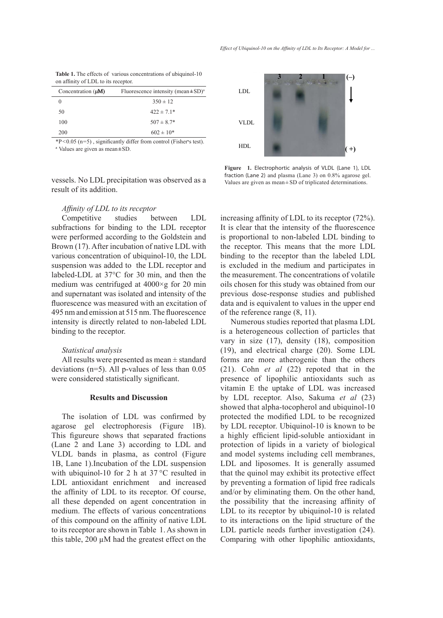| <b>Table 1.</b> The effects of various concentrations of ubiquinol-10 |  |
|-----------------------------------------------------------------------|--|
| on affinity of LDL to its receptor.                                   |  |

| Concentration $(\mu M)$ | Fluorescence intensity (mean $\pm$ SD) <sup>a</sup> |
|-------------------------|-----------------------------------------------------|
| $\theta$                | $350 \pm 12$                                        |
| 50                      | $422 \pm 7.1*$                                      |
| 100                     | $507 \pm 8.7*$                                      |
| 200                     | $602 \pm 10*$                                       |

 $*P<0.05$  (n=5), significantly differ from control (Fisher's test). <sup>a</sup> Values are given as mean**±**SD.

vessels. No LDL precipitation was observed as a result of its addition.

# *Affinity of LDL to its receptor*

Competitive studies between LDL subfractions for binding to the LDL receptor were performed according to the Goldstein and Brown (17). After incubation of native LDL with various concentration of ubiquinol-10, the LDL suspension was added to the LDL receptor and labeled-LDL at 37°C for 30 min, and then the medium was centrifuged at 4000×g for 20 min and supernatant was isolated and intensity of the fluorescence was measured with an excitation of 495 nm and emission at 515 nm. The fluorescence intensity is directly related to non-labeled LDL binding to the receptor.

## *Statistical analysis*

All results were presented as mean ± standard deviations (n=5). All p-values of less than 0.05 were considered statistically significant.

#### **Results and Discussion**

The isolation of LDL was confirmed by agarose gel electrophoresis (Figure 1B). This figureure shows that separated fractions (Lane 2 and Lane 3) according to LDL and VLDL bands in plasma, as control (Figure 1B, Lane 1).Incubation of the LDL suspension with ubiquinol-10 for 2 h at 37 °C resulted in LDL antioxidant enrichment and increased the affinity of LDL to its receptor. Of course, all these depended on agent concentration in medium. The effects of various concentrations of this compound on the affinity of native LDL to its receptor are shown in Table 1. As shown in this table, 200 µM had the greatest effect on the



**Figure 1.** Electrophortic analysis of VLDL (Lane 1), LDL fraction (Lane 2) and plasma (Lane 3) on 0.8% agarose gel. Values are given as mean ± SD of triplicated determinations.

increasing affinity of LDL to its receptor (72%). It is clear that the intensity of the fluorescence is proportional to non-labeled LDL binding to the receptor. This means that the more LDL binding to the receptor than the labeled LDL is excluded in the medium and participates in the measurement. The concentrations of volatile oils chosen for this study was obtained from our previous dose-response studies and published data and is equivalent to values in the upper end of the reference range (8, 11).

Numerous studies reported that plasma LDL is a heterogeneous collection of particles that vary in size (17), density (18), composition (19), and electrical charge (20). Some LDL forms are more atherogenic than the others (21). Cohn *et al* (22) repoted that in the presence of lipophilic antioxidants such as vitamin E the uptake of LDL was increased by LDL receptor. Also, Sakuma *et al* (23) showed that alpha-tocopherol and ubiquinol-10 protected the modified LDL to be recognized by LDL receptor. Ubiquinol-10 is known to be a highly efficient lipid-soluble antioxidant in protection of lipids in a variety of biological and model systems including cell membranes, LDL and liposomes. It is generally assumed that the quinol may exhibit its protective effect by preventing a formation of lipid free radicals and/or by eliminating them. On the other hand, the possibility that the increasing affinity of LDL to its receptor by ubiquinol-10 is related to its interactions on the lipid structure of the LDL particle needs further investigation (24). Comparing with other lipophilic antioxidants,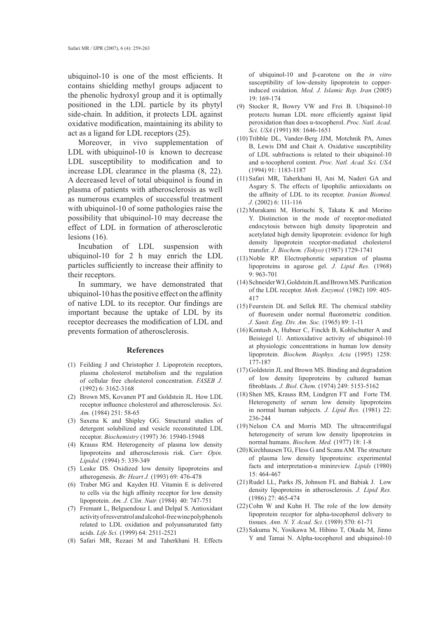ubiquinol-10 is one of the most efficients. It contains shielding methyl groups adjacent to the phenolic hydroxyl group and it is optimally positioned in the LDL particle by its phytyl side-chain. In addition, it protects LDL against oxidative modification, maintaining its ability to act as a ligand for LDL receptors (25).

Moreover, in vivo supplementation of LDL with ubiquinol-10 is known to decrease LDL susceptibility to modification and to increase LDL clearance in the plasma (8, 22). A decreased level of total ubiquinol is found in plasma of patients with atherosclerosis as well as numerous examples of successful treatment with ubiquinol-10 of some pathologies raise the possibility that ubiquinol-10 may decrease the effect of LDL in formation of atherosclerotic lesions (16).

Incubation of LDL suspension with ubiquinol-10 for 2 h may enrich the LDL particles sufficiently to increase their affinity to their receptors.

In summary, we have demonstrated that ubiquinol-10 has the positive effect on the affinity of native LDL to its receptor. Our findings are important because the uptake of LDL by its receptor decreases the modification of LDL and prevents formation of atherosclerosis.

#### **References**

- Feilding J and Christopher J. Lipoprotein receptors, (1) plasma cholesterol metabolism and the regulation of cellular free cholesterol concentration. *FASEB J.*  (1992) 6: 3162-3168
- (2) Brown MS, Kovanen PT and Goldstein JL. How LDL receptor influence cholesterol and atherosclerosis. *Sci. Am.* (1984) 251: 58-65
- (3) Saxena K and Shipley GG. Structural studies of detergent solubilized and vesicle reconstituted LDL receptor. *Biochemistry* (1997) 36: 15940-15948
- (4) Krauss RM. Heterogeneity of plasma low density lipoproteins and atherosclerosis risk. *Curr. Opin. Lipidol.* (1994) 5: 339-349
- Leake DS. Oxidized low density lipoproteins and (5) atherogenesis. *Br. Heart J.* (1993) 69: 476-478
- (6) Traber MG and Kayden HJ. Vitamin E is delivered to cells via the high affinity receptor for low density lipoprotein. *Am. J. Clin. Nutr.* (1984) 40: 747-751
- Fremant L, Belguendouz L and Delpal S. Antioxidant (7) activity of resveratrol and alcohol-free wine polyphenols related to LDL oxidation and polyunsaturated fatty acids. *Life Sci.* (1999) 64: 2511-2521
- Safari MR, Rezaei M and Taherkhani H. Effects (8)

of ubiquinol-10 and β-carotene on the *in vitro* susceptibility of low-density lipoprotein to copperinduced oxidation. *Med. J. Islamic Rep. Iran* (2005) 19: 169-174

- (9) Stocker R, Bowry VW and Frei B. Ubiquinol-10 protects human LDL more efficiently against lipid peroxidation than does α-tocopherol. *Proc. Natl. Acad. Sci. USA* (1991) 88: 1646-1651
- (10) Tribble DL, Vander-Berg JJM, Motchnik PA, Ames B, Lewis DM and Chait A. Oxidative susceptibility of LDL subfractions is related to their ubiquinol-10 and α-tocopherol content. *Proc. Natl. Acad. Sci. USA* (1994) 91: 1183-1187
- (11) Safari MR, Taherkhani H, Ani M, Naderi GA and Asgary S. The effects of lipophilic antioxidants on the affinity of LDL to its receptor. *Iranian Biomed. J.* (2002) 6: 111-116
- Murakami M, Horiuchi S, Takata K and Morino (12) Y. Distinction in the mode of receptor-mediated endocytosis between high density lipoprotein and acetylated high density lipoprotein: evidence for high density lipoprotein receptor-mediated cholesterol transfer. *J. Biochem. (Tokyo)* (1987) 1729-1741
- (13) Noble RP. Electrophoretic separation of plasma lipoproteins in agarose gel. *J. Lipid Res.* (1968) 9: 963-701
- (14) Schneider WJ, Goldstein JL and Brown MS. Purification of the LDL receptor. *Meth. Enzymol.* (1982) 109: 405- 417
- $(15)$  Feurstein DL and Sellek RE. The chemical stability of fluoresein under normal fluorometric condition. *J. Sanit. Eng. Div. Am. Soc.* (1965) 89: 1-11
- $(16)$  Kontush A, Hubner C, Finckh B, Kohlschutter A and Beisiegel U. Antioxidative activity of ubiquinol-10 at physiologic concentrations in human low density lipoprotein. *Biochem. Biophys. Acta* (1995) 1258: 177-187
- (17) Goldstein JL and Brown MS. Binding and degradation of low density lipoproteins by cultured human fibroblasts. *J. Biol. Chem.* (1974) 249: 5153-5162
- (18) Shen MS, Krauss RM, Lindgren FT and Forte TM. Heterogeneity of serum low density lipoproteins in normal human subjects. *J. Lipid Res.* (1981) 22: 236-244
- (19) Nelson CA and Morris MD. The ultracentrifugal heterogeneity of serum low density lipoproteins in normal humans. *Biochem. Med.* (1977) 18: 1-8
- $(20)$  Kirchhausen TG, Fless G and Scanu AM. The structure of plasma low density lipoproteins: experimental facts and interpretation-a minireview*. Lipids* (1980) 15: 464-467
- $(21)$  Rudel LL, Parks JS, Johnson FL and Babiak J. Low density lipoproteins in atherosclerosis. *J. Lipid Res.* (1986) 27: 465-474
- $(22)$  Cohn W and Kuhn H. The role of the low density lipoprotein receptor for alpha-tocopherol delivery to tissues. *Ann. N. Y. Acad. Sci.* (1989) 570: 61-71
- (23) Sakuma N, Yosikawa M, Hibino T, Okada M, Jinno Y and Tamai N. Alpha-tocopherol and ubiquinol-10